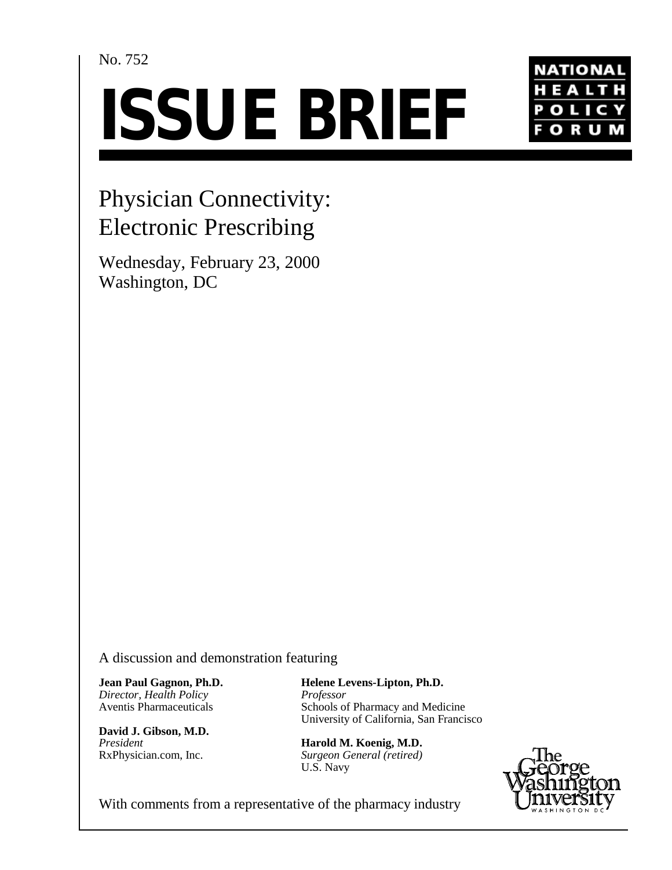## No. 752

# **ISSUE BRIEF**



# Physician Connectivity: Electronic Prescribing

Wednesday, February 23, 2000 Washington, DC

A discussion and demonstration featuring

**Jean Paul Gagnon, Ph.D.** *Director, Health Policy* Aventis Pharmaceuticals

**David J. Gibson, M.D.** *President* RxPhysician.com, Inc.

**Helene Levens-Lipton, Ph.D.** *Professor* Schools of Pharmacy and Medicine University of California, San Francisco

**Harold M. Koenig, M.D.** *Surgeon General (retired)* U.S. Navy



With comments from a representative of the pharmacy industry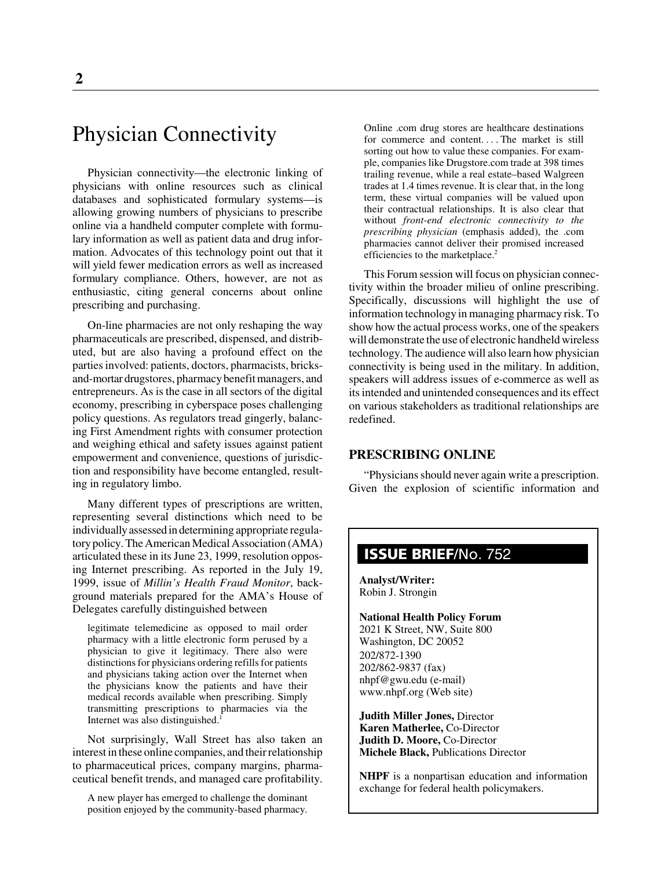## Physician Connectivity

Physician connectivity—the electronic linking of physicians with online resources such as clinical databases and sophisticated formulary systems—is allowing growing numbers of physicians to prescribe online via a handheld computer complete with formulary information as well as patient data and drug information. Advocates of this technology point out that it will yield fewer medication errors as well as increased formulary compliance. Others, however, are not as enthusiastic, citing general concerns about online prescribing and purchasing.

On-line pharmacies are not only reshaping the way pharmaceuticals are prescribed, dispensed, and distributed, but are also having a profound effect on the parties involved: patients, doctors, pharmacists, bricksand-mortar drugstores, pharmacy benefit managers, and entrepreneurs. As is the case in all sectors of the digital economy, prescribing in cyberspace poses challenging policy questions. As regulators tread gingerly, balancing First Amendment rights with consumer protection and weighing ethical and safety issues against patient empowerment and convenience, questions of jurisdiction and responsibility have become entangled, resulting in regulatory limbo.

Many different types of prescriptions are written, representing several distinctions which need to be individually assessed in determining appropriate regulatory policy. The American Medical Association (AMA) articulated these in its June 23, 1999, resolution opposing Internet prescribing. As reported in the July 19, 1999, issue of *Millin's Health Fraud Monitor*, background materials prepared for the AMA's House of Delegates carefully distinguished between

legitimate telemedicine as opposed to mail order pharmacy with a little electronic form perused by a physician to give it legitimacy. There also were distinctions for physicians ordering refills for patients and physicians taking action over the Internet when the physicians know the patients and have their medical records available when prescribing. Simply transmitting prescriptions to pharmacies via the Internet was also distinguished.<sup>1</sup>

Not surprisingly, Wall Street has also taken an interest in these online companies, and their relationship to pharmaceutical prices, company margins, pharmaceutical benefit trends, and managed care profitability.

A new player has emerged to challenge the dominant position enjoyed by the community-based pharmacy.

Online .com drug stores are healthcare destinations for commerce and content....The market is still sorting out how to value these companies. For example, companies like Drugstore.com trade at 398 times trailing revenue, while a real estate–based Walgreen trades at 1.4 times revenue. It is clear that, in the long term, these virtual companies will be valued upon their contractual relationships. It is also clear that without *front-end electronic connectivity to the prescribing physician* (emphasis added), the .com pharmacies cannot deliver their promised increased efficiencies to the marketplace.<sup>2</sup>

This Forum session will focus on physician connectivity within the broader milieu of online prescribing. Specifically, discussions will highlight the use of information technology in managing pharmacy risk. To show how the actual process works, one of the speakers will demonstrate the use of electronic handheld wireless technology. The audience will also learn how physician connectivity is being used in the military. In addition, speakers will address issues of e-commerce as well as its intended and unintended consequences and its effect on various stakeholders as traditional relationships are redefined.

#### **PRESCRIBING ONLINE**

"Physicians should never again write a prescription. Given the explosion of scientific information and

### **ISSUE BRIEF**/No. 752

**Analyst/Writer:** Robin J. Strongin

**National Health Policy Forum** 2021 K Street, NW, Suite 800 Washington, DC 20052 202/872-1390 202/862-9837 (fax) nhpf@gwu.edu (e-mail) www.nhpf.org (Web site)

**Judith Miller Jones,** Director **Karen Matherlee,** Co-Director **Judith D. Moore,** Co-Director **Michele Black,** Publications Director

**NHPF** is a nonpartisan education and information exchange for federal health policymakers.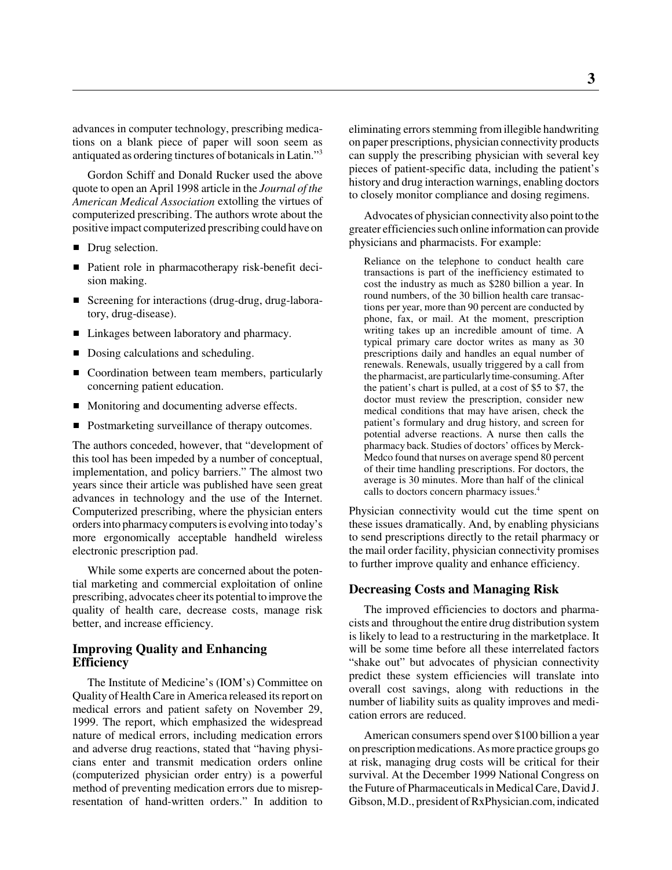advances in computer technology, prescribing medications on a blank piece of paper will soon seem as antiquated as ordering tinctures of botanicals in Latin."3

Gordon Schiff and Donald Rucker used the above quote to open an April 1998 article in the *Journal of the American Medical Association* extolling the virtues of computerized prescribing. The authors wrote about the positive impact computerized prescribing could have on

- Drug selection.
- Patient role in pharmacotherapy risk-benefit decision making.
- Screening for interactions (drug-drug, drug-laboratory, drug-disease).
- Linkages between laboratory and pharmacy.
- Dosing calculations and scheduling.
- Coordination between team members, particularly concerning patient education.
- Monitoring and documenting adverse effects.
- Postmarketing surveillance of therapy outcomes.

The authors conceded, however, that "development of this tool has been impeded by a number of conceptual, implementation, and policy barriers." The almost two years since their article was published have seen great advances in technology and the use of the Internet. Computerized prescribing, where the physician enters orders into pharmacy computers is evolving into today's more ergonomically acceptable handheld wireless electronic prescription pad.

While some experts are concerned about the potential marketing and commercial exploitation of online prescribing, advocates cheer its potential to improve the quality of health care, decrease costs, manage risk better, and increase efficiency.

#### **Improving Quality and Enhancing Efficiency**

The Institute of Medicine's (IOM's) Committee on Quality of Health Care in America released its report on medical errors and patient safety on November 29, 1999. The report, which emphasized the widespread nature of medical errors, including medication errors and adverse drug reactions, stated that "having physicians enter and transmit medication orders online (computerized physician order entry) is a powerful method of preventing medication errors due to misrepresentation of hand-written orders." In addition to eliminating errors stemming from illegible handwriting on paper prescriptions, physician connectivity products can supply the prescribing physician with several key pieces of patient-specific data, including the patient's history and drug interaction warnings, enabling doctors to closely monitor compliance and dosing regimens.

Advocates of physician connectivity also point to the greater efficiencies such online information can provide physicians and pharmacists. For example:

Reliance on the telephone to conduct health care transactions is part of the inefficiency estimated to cost the industry as much as \$280 billion a year. In round numbers, of the 30 billion health care transactions per year, more than 90 percent are conducted by phone, fax, or mail. At the moment, prescription writing takes up an incredible amount of time. A typical primary care doctor writes as many as 30 prescriptions daily and handles an equal number of renewals. Renewals, usually triggered by a call from the pharmacist, are particularly time-consuming. After the patient's chart is pulled, at a cost of \$5 to \$7, the doctor must review the prescription, consider new medical conditions that may have arisen, check the patient's formulary and drug history, and screen for potential adverse reactions. A nurse then calls the pharmacy back. Studies of doctors' offices by Merck-Medco found that nurses on average spend 80 percent of their time handling prescriptions. For doctors, the average is 30 minutes. More than half of the clinical calls to doctors concern pharmacy issues.<sup>4</sup>

Physician connectivity would cut the time spent on these issues dramatically. And, by enabling physicians to send prescriptions directly to the retail pharmacy or the mail order facility, physician connectivity promises to further improve quality and enhance efficiency.

#### **Decreasing Costs and Managing Risk**

The improved efficiencies to doctors and pharmacists and throughout the entire drug distribution system is likely to lead to a restructuring in the marketplace. It will be some time before all these interrelated factors "shake out" but advocates of physician connectivity predict these system efficiencies will translate into overall cost savings, along with reductions in the number of liability suits as quality improves and medication errors are reduced.

American consumers spend over \$100 billion a year on prescription medications. As more practice groups go at risk, managing drug costs will be critical for their survival. At the December 1999 National Congress on the Future of Pharmaceuticals in Medical Care, David J. Gibson, M.D., president of RxPhysician.com, indicated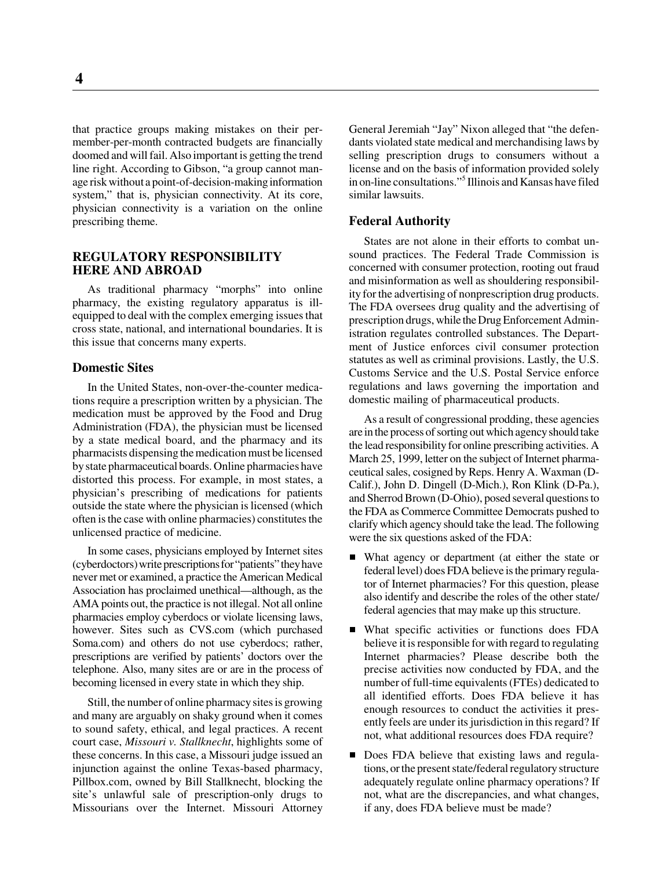that practice groups making mistakes on their permember-per-month contracted budgets are financially doomed and will fail. Also important is getting the trend line right. According to Gibson, "a group cannot manage risk without a point-of-decision-making information system," that is, physician connectivity. At its core, physician connectivity is a variation on the online prescribing theme.

#### **REGULATORY RESPONSIBILITY HERE AND ABROAD**

As traditional pharmacy "morphs" into online pharmacy, the existing regulatory apparatus is illequipped to deal with the complex emerging issues that cross state, national, and international boundaries. It is this issue that concerns many experts.

#### **Domestic Sites**

In the United States, non-over-the-counter medications require a prescription written by a physician. The medication must be approved by the Food and Drug Administration (FDA), the physician must be licensed by a state medical board, and the pharmacy and its pharmacists dispensing the medication must be licensed by state pharmaceutical boards. Online pharmacies have distorted this process. For example, in most states, a physician's prescribing of medications for patients outside the state where the physician is licensed (which often is the case with online pharmacies) constitutes the unlicensed practice of medicine.

In some cases, physicians employed by Internet sites (cyberdoctors) write prescriptions for "patients" they have never met or examined, a practice the American Medical Association has proclaimed unethical—although, as the AMA points out, the practice is not illegal. Not all online pharmacies employ cyberdocs or violate licensing laws, however. Sites such as CVS.com (which purchased Soma.com) and others do not use cyberdocs; rather, prescriptions are verified by patients' doctors over the telephone. Also, many sites are or are in the process of becoming licensed in every state in which they ship.

Still, the number of online pharmacy sites is growing and many are arguably on shaky ground when it comes to sound safety, ethical, and legal practices. A recent court case, *Missouri v. Stallknecht*, highlights some of these concerns. In this case, a Missouri judge issued an injunction against the online Texas-based pharmacy, Pillbox.com, owned by Bill Stallknecht, blocking the site's unlawful sale of prescription-only drugs to Missourians over the Internet. Missouri Attorney

General Jeremiah "Jay" Nixon alleged that "the defendants violated state medical and merchandising laws by selling prescription drugs to consumers without a license and on the basis of information provided solely in on-line consultations."5 Illinois and Kansas have filed similar lawsuits.

#### **Federal Authority**

States are not alone in their efforts to combat unsound practices. The Federal Trade Commission is concerned with consumer protection, rooting out fraud and misinformation as well as shouldering responsibility for the advertising of nonprescription drug products. The FDA oversees drug quality and the advertising of prescription drugs, while the Drug Enforcement Administration regulates controlled substances. The Department of Justice enforces civil consumer protection statutes as well as criminal provisions. Lastly, the U.S. Customs Service and the U.S. Postal Service enforce regulations and laws governing the importation and domestic mailing of pharmaceutical products.

As a result of congressional prodding, these agencies are in the process of sorting out which agency should take the lead responsibility for online prescribing activities. A March 25, 1999, letter on the subject of Internet pharmaceutical sales, cosigned by Reps. Henry A. Waxman (D-Calif.), John D. Dingell (D-Mich.), Ron Klink (D-Pa.), and Sherrod Brown (D-Ohio), posed several questions to the FDA as Commerce Committee Democrats pushed to clarify which agency should take the lead. The following were the six questions asked of the FDA:

- $\blacksquare$  What agency or department (at either the state or federal level) does FDA believe is the primary regulator of Internet pharmacies? For this question, please also identify and describe the roles of the other state/ federal agencies that may make up this structure.
- What specific activities or functions does FDA believe it is responsible for with regard to regulating Internet pharmacies? Please describe both the precise activities now conducted by FDA, and the number of full-time equivalents (FTEs) dedicated to all identified efforts. Does FDA believe it has enough resources to conduct the activities it presently feels are under its jurisdiction in this regard? If not, what additional resources does FDA require?
- Does FDA believe that existing laws and regulations, or the present state/federal regulatory structure adequately regulate online pharmacy operations? If not, what are the discrepancies, and what changes, if any, does FDA believe must be made?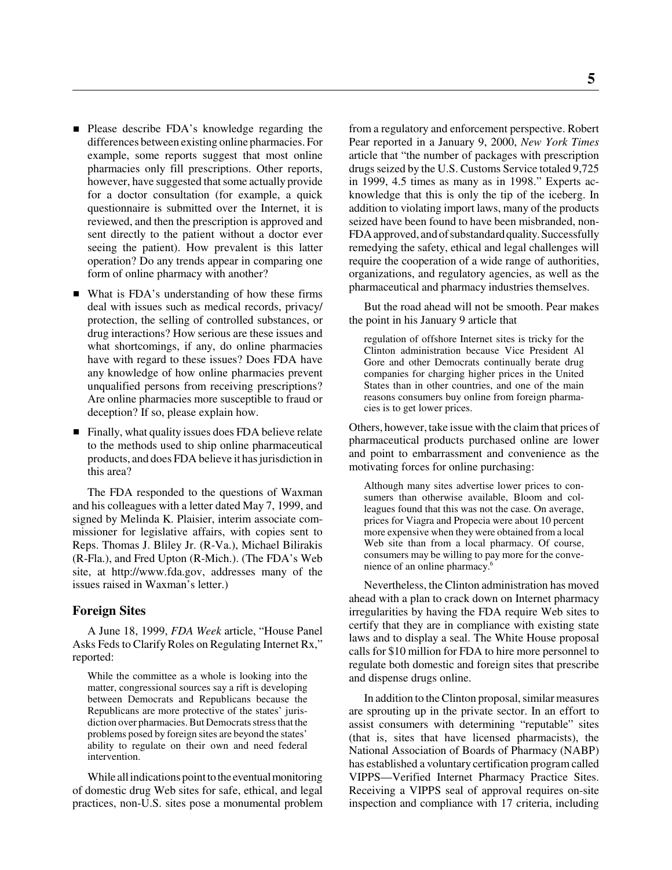- Please describe FDA's knowledge regarding the differences between existing online pharmacies. For example, some reports suggest that most online pharmacies only fill prescriptions. Other reports, however, have suggested that some actually provide for a doctor consultation (for example, a quick questionnaire is submitted over the Internet, it is reviewed, and then the prescription is approved and sent directly to the patient without a doctor ever seeing the patient). How prevalent is this latter operation? Do any trends appear in comparing one form of online pharmacy with another?
- What is FDA's understanding of how these firms deal with issues such as medical records, privacy/ protection, the selling of controlled substances, or drug interactions? How serious are these issues and what shortcomings, if any, do online pharmacies have with regard to these issues? Does FDA have any knowledge of how online pharmacies prevent unqualified persons from receiving prescriptions? Are online pharmacies more susceptible to fraud or deception? If so, please explain how.
- Finally, what quality issues does FDA believe relate to the methods used to ship online pharmaceutical products, and does FDA believe it has jurisdiction in this area?

The FDA responded to the questions of Waxman and his colleagues with a letter dated May 7, 1999, and signed by Melinda K. Plaisier, interim associate commissioner for legislative affairs, with copies sent to Reps. Thomas J. Bliley Jr. (R-Va.), Michael Bilirakis (R-Fla.), and Fred Upton (R-Mich.). (The FDA's Web site, at http://www.fda.gov, addresses many of the issues raised in Waxman's letter.)

#### **Foreign Sites**

A June 18, 1999, *FDA Week* article, "House Panel Asks Feds to Clarify Roles on Regulating Internet Rx," reported:

While the committee as a whole is looking into the matter, congressional sources say a rift is developing between Democrats and Republicans because the Republicans are more protective of the states' jurisdiction over pharmacies. But Democrats stress that the problems posed by foreign sites are beyond the states' ability to regulate on their own and need federal intervention.

While all indications point to the eventual monitoring of domestic drug Web sites for safe, ethical, and legal practices, non-U.S. sites pose a monumental problem from a regulatory and enforcement perspective. Robert Pear reported in a January 9, 2000, *New York Times* article that "the number of packages with prescription drugs seized by the U.S. Customs Service totaled 9,725 in 1999, 4.5 times as many as in 1998." Experts acknowledge that this is only the tip of the iceberg. In addition to violating import laws, many of the products seized have been found to have been misbranded, non-FDA approved, and of substandard quality. Successfully remedying the safety, ethical and legal challenges will require the cooperation of a wide range of authorities, organizations, and regulatory agencies, as well as the pharmaceutical and pharmacy industries themselves.

But the road ahead will not be smooth. Pear makes the point in his January 9 article that

regulation of offshore Internet sites is tricky for the Clinton administration because Vice President Al Gore and other Democrats continually berate drug companies for charging higher prices in the United States than in other countries, and one of the main reasons consumers buy online from foreign pharmacies is to get lower prices.

Others, however, take issue with the claim that prices of pharmaceutical products purchased online are lower and point to embarrassment and convenience as the motivating forces for online purchasing:

Although many sites advertise lower prices to consumers than otherwise available, Bloom and colleagues found that this was not the case. On average, prices for Viagra and Propecia were about 10 percent more expensive when they were obtained from a local Web site than from a local pharmacy. Of course, consumers may be willing to pay more for the convenience of an online pharmacy.6

Nevertheless, the Clinton administration has moved ahead with a plan to crack down on Internet pharmacy irregularities by having the FDA require Web sites to certify that they are in compliance with existing state laws and to display a seal. The White House proposal calls for \$10 million for FDA to hire more personnel to regulate both domestic and foreign sites that prescribe and dispense drugs online.

In addition to the Clinton proposal, similar measures are sprouting up in the private sector. In an effort to assist consumers with determining "reputable" sites (that is, sites that have licensed pharmacists), the National Association of Boards of Pharmacy (NABP) has established a voluntary certification program called VIPPS—Verified Internet Pharmacy Practice Sites. Receiving a VIPPS seal of approval requires on-site inspection and compliance with 17 criteria, including